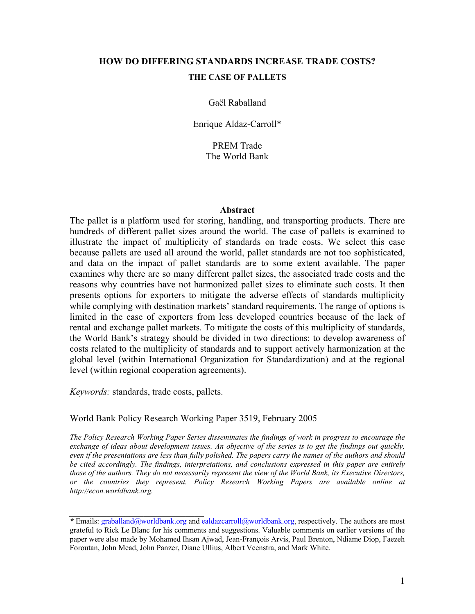# **HOW DO DIFFERING STANDARDS INCREASE TRADE COSTS? THE CASE OF PALLETS**

Gaël Raballand

Enrique Aldaz-Carroll\*

PREM Trade The World Bank

#### **Abstract**

The pallet is a platform used for storing, handling, and transporting products. There are hundreds of different pallet sizes around the world. The case of pallets is examined to illustrate the impact of multiplicity of standards on trade costs. We select this case because pallets are used all around the world, pallet standards are not too sophisticated, and data on the impact of pallet standards are to some extent available. The paper examines why there are so many different pallet sizes, the associated trade costs and the reasons why countries have not harmonized pallet sizes to eliminate such costs. It then presents options for exporters to mitigate the adverse effects of standards multiplicity while complying with destination markets' standard requirements. The range of options is limited in the case of exporters from less developed countries because of the lack of rental and exchange pallet markets. To mitigate the costs of this multiplicity of standards, the World Bank's strategy should be divided in two directions: to develop awareness of costs related to the multiplicity of standards and to support actively harmonization at the global level (within International Organization for Standardization) and at the regional level (within regional cooperation agreements).

*Keywords:* standards, trade costs, pallets.

*\_\_\_\_\_\_\_\_\_\_\_\_\_\_\_\_\_\_\_\_\_\_\_\_\_\_\_\_\_* 

# World Bank Policy Research Working Paper 3519, February 2005

*The Policy Research Working Paper Series disseminates the findings of work in progress to encourage the exchange of ideas about development issues. An objective of the series is to get the findings out quickly, even if the presentations are less than fully polished. The papers carry the names of the authors and should be cited accordingly. The findings, interpretations, and conclusions expressed in this paper are entirely those of the authors. They do not necessarily represent the view of the World Bank, its Executive Directors, or the countries they represent. Policy Research Working Papers are available online at http://econ.worldbank.org.* 

*<sup>\*</sup>* Emails: graballand@worldbank.org and ealdazcarroll@worldbank.org, respectively. The authors are most grateful to Rick Le Blanc for his comments and suggestions. Valuable comments on earlier versions of the paper were also made by Mohamed Ihsan Ajwad, Jean-François Arvis, Paul Brenton, Ndiame Diop, Faezeh Foroutan, John Mead, John Panzer, Diane Ullius, Albert Veenstra, and Mark White.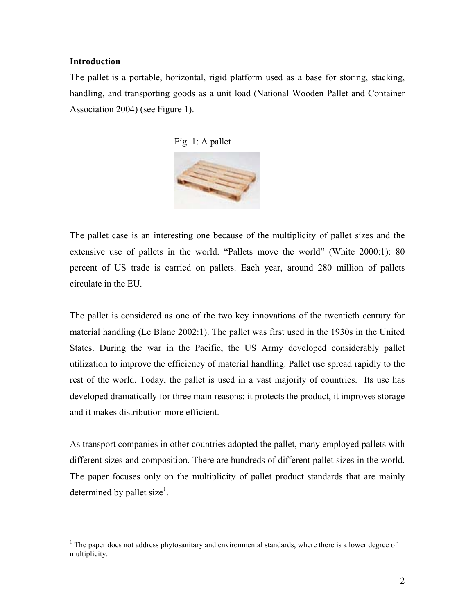### **Introduction**

 $\overline{a}$ 

The pallet is a portable, horizontal, rigid platform used as a base for storing, stacking, handling, and transporting goods as a unit load (National Wooden Pallet and Container Association 2004) (see Figure 1).





The pallet case is an interesting one because of the multiplicity of pallet sizes and the extensive use of pallets in the world. "Pallets move the world" (White 2000:1): 80 percent of US trade is carried on pallets. Each year, around 280 million of pallets circulate in the EU.

The pallet is considered as one of the two key innovations of the twentieth century for material handling (Le Blanc 2002:1). The pallet was first used in the 1930s in the United States. During the war in the Pacific, the US Army developed considerably pallet utilization to improve the efficiency of material handling. Pallet use spread rapidly to the rest of the world. Today, the pallet is used in a vast majority of countries. Its use has developed dramatically for three main reasons: it protects the product, it improves storage and it makes distribution more efficient.

As transport companies in other countries adopted the pallet, many employed pallets with different sizes and composition. There are hundreds of different pallet sizes in the world. The paper focuses only on the multiplicity of pallet product standards that are mainly determined by pallet size<sup>1</sup>.

<sup>&</sup>lt;sup>1</sup> The paper does not address phytosanitary and environmental standards, where there is a lower degree of multiplicity.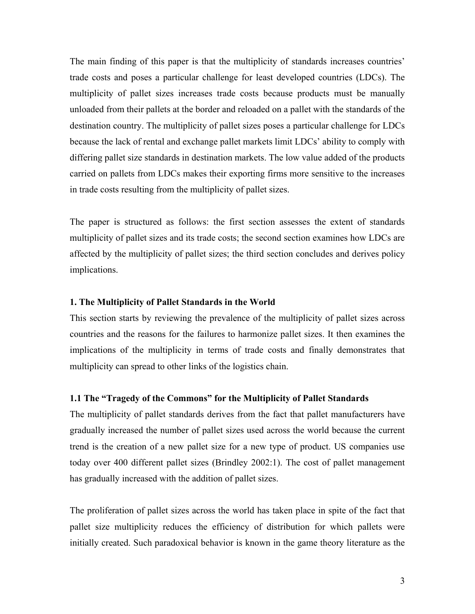The main finding of this paper is that the multiplicity of standards increases countries' trade costs and poses a particular challenge for least developed countries (LDCs). The multiplicity of pallet sizes increases trade costs because products must be manually unloaded from their pallets at the border and reloaded on a pallet with the standards of the destination country. The multiplicity of pallet sizes poses a particular challenge for LDCs because the lack of rental and exchange pallet markets limit LDCs' ability to comply with differing pallet size standards in destination markets. The low value added of the products carried on pallets from LDCs makes their exporting firms more sensitive to the increases in trade costs resulting from the multiplicity of pallet sizes.

The paper is structured as follows: the first section assesses the extent of standards multiplicity of pallet sizes and its trade costs; the second section examines how LDCs are affected by the multiplicity of pallet sizes; the third section concludes and derives policy implications.

#### **1. The Multiplicity of Pallet Standards in the World**

This section starts by reviewing the prevalence of the multiplicity of pallet sizes across countries and the reasons for the failures to harmonize pallet sizes. It then examines the implications of the multiplicity in terms of trade costs and finally demonstrates that multiplicity can spread to other links of the logistics chain.

# **1.1 The "Tragedy of the Commons" for the Multiplicity of Pallet Standards**

The multiplicity of pallet standards derives from the fact that pallet manufacturers have gradually increased the number of pallet sizes used across the world because the current trend is the creation of a new pallet size for a new type of product. US companies use today over 400 different pallet sizes (Brindley 2002:1). The cost of pallet management has gradually increased with the addition of pallet sizes.

The proliferation of pallet sizes across the world has taken place in spite of the fact that pallet size multiplicity reduces the efficiency of distribution for which pallets were initially created. Such paradoxical behavior is known in the game theory literature as the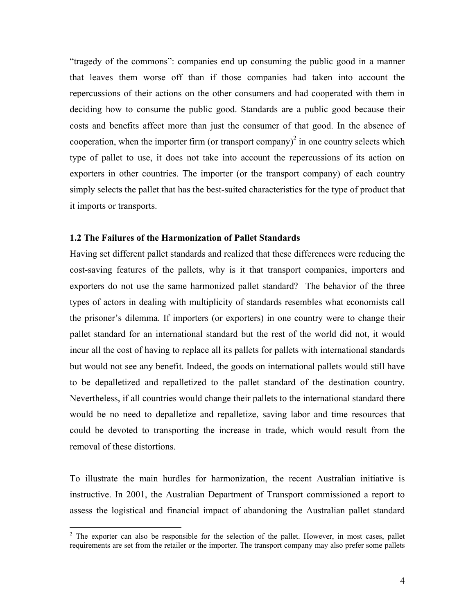"tragedy of the commons": companies end up consuming the public good in a manner that leaves them worse off than if those companies had taken into account the repercussions of their actions on the other consumers and had cooperated with them in deciding how to consume the public good. Standards are a public good because their costs and benefits affect more than just the consumer of that good. In the absence of cooperation, when the importer firm (or transport company)<sup>2</sup> in one country selects which type of pallet to use, it does not take into account the repercussions of its action on exporters in other countries. The importer (or the transport company) of each country simply selects the pallet that has the best-suited characteristics for the type of product that it imports or transports.

#### **1.2 The Failures of the Harmonization of Pallet Standards**

Having set different pallet standards and realized that these differences were reducing the cost-saving features of the pallets, why is it that transport companies, importers and exporters do not use the same harmonized pallet standard? The behavior of the three types of actors in dealing with multiplicity of standards resembles what economists call the prisoner's dilemma. If importers (or exporters) in one country were to change their pallet standard for an international standard but the rest of the world did not, it would incur all the cost of having to replace all its pallets for pallets with international standards but would not see any benefit. Indeed, the goods on international pallets would still have to be depalletized and repalletized to the pallet standard of the destination country. Nevertheless, if all countries would change their pallets to the international standard there would be no need to depalletize and repalletize, saving labor and time resources that could be devoted to transporting the increase in trade, which would result from the removal of these distortions.

To illustrate the main hurdles for harmonization, the recent Australian initiative is instructive. In 2001, the Australian Department of Transport commissioned a report to assess the logistical and financial impact of abandoning the Australian pallet standard

 $2^2$  The exporter can also be responsible for the selection of the pallet. However, in most cases, pallet requirements are set from the retailer or the importer. The transport company may also prefer some pallets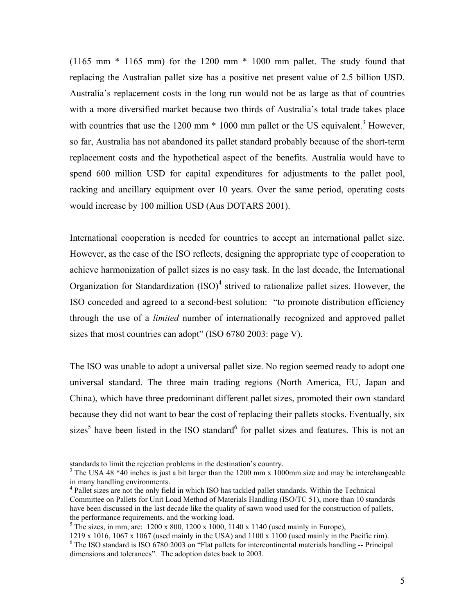(1165 mm \* 1165 mm) for the 1200 mm \* 1000 mm pallet. The study found that replacing the Australian pallet size has a positive net present value of 2.5 billion USD. Australia's replacement costs in the long run would not be as large as that of countries with a more diversified market because two thirds of Australia's total trade takes place with countries that use the  $1200 \text{ mm} * 1000 \text{ mm}$  pallet or the US equivalent.<sup>3</sup> However, so far, Australia has not abandoned its pallet standard probably because of the short-term replacement costs and the hypothetical aspect of the benefits. Australia would have to spend 600 million USD for capital expenditures for adjustments to the pallet pool, racking and ancillary equipment over 10 years. Over the same period, operating costs would increase by 100 million USD (Aus DOTARS 2001).

International cooperation is needed for countries to accept an international pallet size. However, as the case of the ISO reflects, designing the appropriate type of cooperation to achieve harmonization of pallet sizes is no easy task. In the last decade, the International Organization for Standardization  $(ISO)^4$  strived to rationalize pallet sizes. However, the ISO conceded and agreed to a second-best solution: "to promote distribution efficiency through the use of a *limited* number of internationally recognized and approved pallet sizes that most countries can adopt" (ISO 6780 2003: page V).

The ISO was unable to adopt a universal pallet size. No region seemed ready to adopt one universal standard. The three main trading regions (North America, EU, Japan and China), which have three predominant different pallet sizes, promoted their own standard because they did not want to bear the cost of replacing their pallets stocks. Eventually, six sizes<sup>5</sup> have been listed in the ISO standard $6$  for pallet sizes and features. This is not an

standards to limit the rejection problems in the destination's country.

<sup>&</sup>lt;sup>3</sup> The USA 48 \*40 inches is just a bit larger than the 1200 mm x 1000mm size and may be interchangeable in many handling environments.

<sup>&</sup>lt;sup>4</sup> Pallet sizes are not the only field in which ISO has tackled pallet standards. Within the Technical Committee on Pallets for Unit Load Method of Materials Handling (ISO/TC 51), more than 10 standards have been discussed in the last decade like the quality of sawn wood used for the construction of pallets, the performance requirements, and the working load.

<sup>&</sup>lt;sup>5</sup> The sizes, in mm, are:  $1200 \times 800$ ,  $1200 \times 1000$ ,  $1140 \times 1140$  (used mainly in Europe),

 $1219 \times 1016$ ,  $1067 \times 1067$  (used mainly in the USA) and  $1100 \times 1100$  (used mainly in the Pacific rim). <sup>6</sup> The ISO standard is ISO 6780:2003 on "Flat pallets for intercontinental materials handling -- Principal dimensions and tolerances". The adoption dates back to 2003.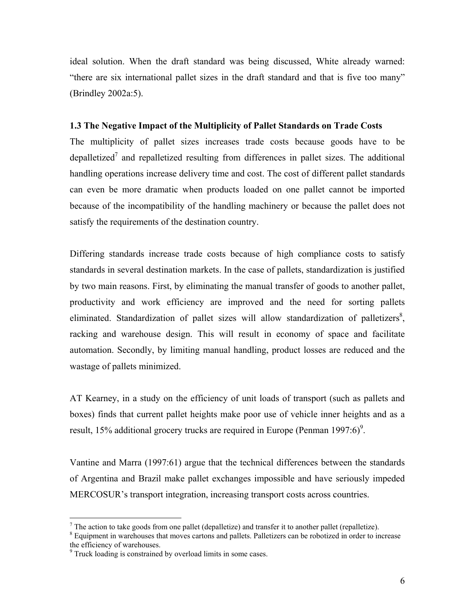ideal solution. When the draft standard was being discussed, White already warned: "there are six international pallet sizes in the draft standard and that is five too many" (Brindley 2002a:5).

### **1.3 The Negative Impact of the Multiplicity of Pallet Standards on Trade Costs**

The multiplicity of pallet sizes increases trade costs because goods have to be depalletized<sup>7</sup> and repalletized resulting from differences in pallet sizes. The additional handling operations increase delivery time and cost. The cost of different pallet standards can even be more dramatic when products loaded on one pallet cannot be imported because of the incompatibility of the handling machinery or because the pallet does not satisfy the requirements of the destination country.

Differing standards increase trade costs because of high compliance costs to satisfy standards in several destination markets. In the case of pallets, standardization is justified by two main reasons. First, by eliminating the manual transfer of goods to another pallet, productivity and work efficiency are improved and the need for sorting pallets eliminated. Standardization of pallet sizes will allow standardization of palletizers<sup>8</sup>, racking and warehouse design. This will result in economy of space and facilitate automation. Secondly, by limiting manual handling, product losses are reduced and the wastage of pallets minimized.

AT Kearney, in a study on the efficiency of unit loads of transport (such as pallets and boxes) finds that current pallet heights make poor use of vehicle inner heights and as a result, 15% additional grocery trucks are required in Europe (Penman 1997:6)<sup>9</sup>.

Vantine and Marra (1997:61) argue that the technical differences between the standards of Argentina and Brazil make pallet exchanges impossible and have seriously impeded MERCOSUR's transport integration, increasing transport costs across countries.

The action to take goods from one pallet (depalletize) and transfer it to another pallet (repalletize).

<sup>&</sup>lt;sup>8</sup> Equipment in warehouses that moves cartons and pallets. Palletizers can be robotized in order to increase the efficiency of warehouses.

<sup>&</sup>lt;sup>9</sup> Truck loading is constrained by overload limits in some cases.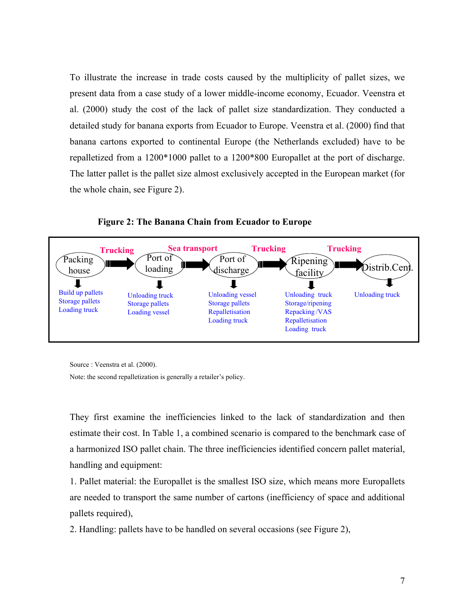To illustrate the increase in trade costs caused by the multiplicity of pallet sizes, we present data from a case study of a lower middle-income economy, Ecuador. Veenstra et al. (2000) study the cost of the lack of pallet size standardization. They conducted a detailed study for banana exports from Ecuador to Europe. Veenstra et al. (2000) find that banana cartons exported to continental Europe (the Netherlands excluded) have to be repalletized from a 1200\*1000 pallet to a 1200\*800 Europallet at the port of discharge. The latter pallet is the pallet size almost exclusively accepted in the European market (for the whole chain, see Figure 2).



**Figure 2: The Banana Chain from Ecuador to Europe** 

Source : Veenstra et al. (2000).

Note: the second repalletization is generally a retailer's policy.

They first examine the inefficiencies linked to the lack of standardization and then estimate their cost. In Table 1, a combined scenario is compared to the benchmark case of a harmonized ISO pallet chain. The three inefficiencies identified concern pallet material, handling and equipment:

1. Pallet material: the Europallet is the smallest ISO size, which means more Europallets are needed to transport the same number of cartons (inefficiency of space and additional pallets required),

2. Handling: pallets have to be handled on several occasions (see Figure 2),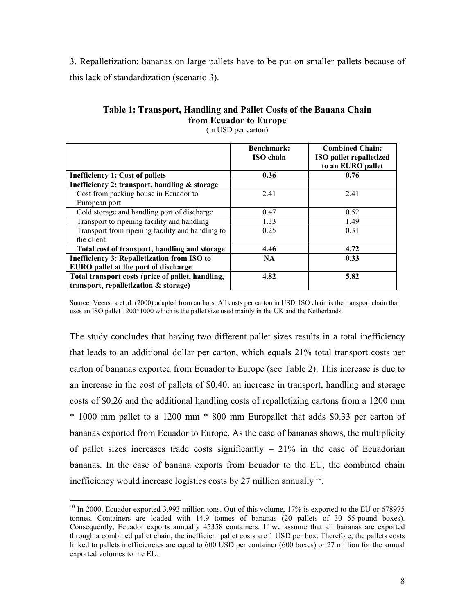3. Repalletization: bananas on large pallets have to be put on smaller pallets because of this lack of standardization (scenario 3).

# **Table 1: Transport, Handling and Pallet Costs of the Banana Chain from Ecuador to Europe**

|                                                                                            | <b>Benchmark:</b><br><b>ISO</b> chain | <b>Combined Chain:</b><br><b>ISO</b> pallet repalletized |
|--------------------------------------------------------------------------------------------|---------------------------------------|----------------------------------------------------------|
|                                                                                            |                                       | to an EURO pallet                                        |
| <b>Inefficiency 1: Cost of pallets</b>                                                     | 0.36                                  | 0.76                                                     |
| Inefficiency 2: transport, handling & storage                                              |                                       |                                                          |
| Cost from packing house in Ecuador to                                                      | 2.41                                  | 2.41                                                     |
| European port                                                                              |                                       |                                                          |
| Cold storage and handling port of discharge                                                | 0.47                                  | 0.52                                                     |
| Transport to ripening facility and handling                                                | 1.33                                  | 1.49                                                     |
| Transport from ripening facility and handling to                                           | 0.25                                  | 0.31                                                     |
| the client                                                                                 |                                       |                                                          |
| Total cost of transport, handling and storage                                              | 4.46                                  | 4.72                                                     |
| <b>Inefficiency 3: Repalletization from ISO to</b>                                         | <b>NA</b>                             | 0.33                                                     |
| EURO pallet at the port of discharge                                                       |                                       |                                                          |
| Total transport costs (price of pallet, handling,<br>transport, repalletization & storage) | 4.82                                  | 5.82                                                     |

(in USD per carton)

Source: Veenstra et al. (2000) adapted from authors. All costs per carton in USD. ISO chain is the transport chain that uses an ISO pallet 1200\*1000 which is the pallet size used mainly in the UK and the Netherlands.

The study concludes that having two different pallet sizes results in a total inefficiency that leads to an additional dollar per carton, which equals 21% total transport costs per carton of bananas exported from Ecuador to Europe (see Table 2). This increase is due to an increase in the cost of pallets of \$0.40, an increase in transport, handling and storage costs of \$0.26 and the additional handling costs of repalletizing cartons from a 1200 mm \* 1000 mm pallet to a 1200 mm \* 800 mm Europallet that adds \$0.33 per carton of bananas exported from Ecuador to Europe. As the case of bananas shows, the multiplicity of pallet sizes increases trade costs significantly  $-21\%$  in the case of Ecuadorian bananas. In the case of banana exports from Ecuador to the EU, the combined chain inefficiency would increase logistics costs by  $27$  million annually  $10$ .

<sup>&</sup>lt;sup>10</sup> In 2000, Ecuador exported 3.993 million tons. Out of this volume, 17% is exported to the EU or 678975 tonnes. Containers are loaded with 14.9 tonnes of bananas (20 pallets of 30 55-pound boxes). Consequently, Ecuador exports annually 45358 containers. If we assume that all bananas are exported through a combined pallet chain, the inefficient pallet costs are 1 USD per box. Therefore, the pallets costs linked to pallets inefficiencies are equal to 600 USD per container (600 boxes) or 27 million for the annual exported volumes to the EU.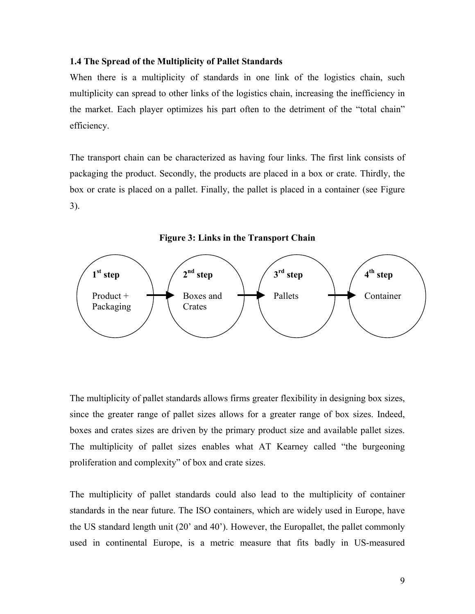### **1.4 The Spread of the Multiplicity of Pallet Standards**

When there is a multiplicity of standards in one link of the logistics chain, such multiplicity can spread to other links of the logistics chain, increasing the inefficiency in the market. Each player optimizes his part often to the detriment of the "total chain" efficiency.

The transport chain can be characterized as having four links. The first link consists of packaging the product. Secondly, the products are placed in a box or crate. Thirdly, the box or crate is placed on a pallet. Finally, the pallet is placed in a container (see Figure 3).





The multiplicity of pallet standards allows firms greater flexibility in designing box sizes, since the greater range of pallet sizes allows for a greater range of box sizes. Indeed, boxes and crates sizes are driven by the primary product size and available pallet sizes. The multiplicity of pallet sizes enables what AT Kearney called "the burgeoning proliferation and complexity" of box and crate sizes.

The multiplicity of pallet standards could also lead to the multiplicity of container standards in the near future. The ISO containers, which are widely used in Europe, have the US standard length unit (20' and 40'). However, the Europallet, the pallet commonly used in continental Europe, is a metric measure that fits badly in US-measured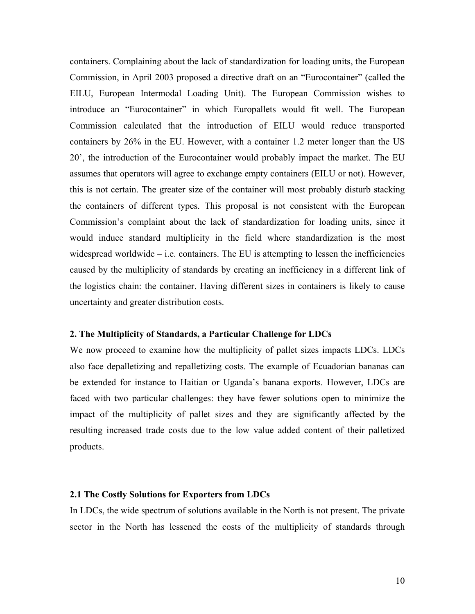containers. Complaining about the lack of standardization for loading units, the European Commission, in April 2003 proposed a directive draft on an "Eurocontainer" (called the EILU, European Intermodal Loading Unit). The European Commission wishes to introduce an "Eurocontainer" in which Europallets would fit well. The European Commission calculated that the introduction of EILU would reduce transported containers by 26% in the EU. However, with a container 1.2 meter longer than the US 20', the introduction of the Eurocontainer would probably impact the market. The EU assumes that operators will agree to exchange empty containers (EILU or not). However, this is not certain. The greater size of the container will most probably disturb stacking the containers of different types. This proposal is not consistent with the European Commission's complaint about the lack of standardization for loading units, since it would induce standard multiplicity in the field where standardization is the most widespread worldwide  $-$  i.e. containers. The EU is attempting to lessen the inefficiencies caused by the multiplicity of standards by creating an inefficiency in a different link of the logistics chain: the container. Having different sizes in containers is likely to cause uncertainty and greater distribution costs.

# **2. The Multiplicity of Standards, a Particular Challenge for LDCs**

We now proceed to examine how the multiplicity of pallet sizes impacts LDCs. LDCs also face depalletizing and repalletizing costs. The example of Ecuadorian bananas can be extended for instance to Haitian or Uganda's banana exports. However, LDCs are faced with two particular challenges: they have fewer solutions open to minimize the impact of the multiplicity of pallet sizes and they are significantly affected by the resulting increased trade costs due to the low value added content of their palletized products.

# **2.1 The Costly Solutions for Exporters from LDCs**

In LDCs, the wide spectrum of solutions available in the North is not present. The private sector in the North has lessened the costs of the multiplicity of standards through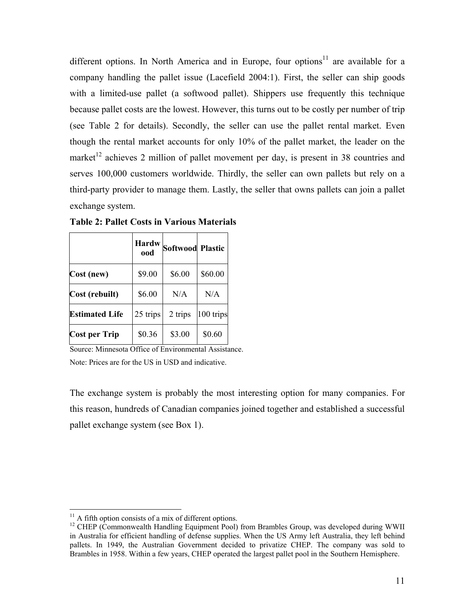different options. In North America and in Europe, four options<sup>11</sup> are available for a company handling the pallet issue (Lacefield 2004:1). First, the seller can ship goods with a limited-use pallet (a softwood pallet). Shippers use frequently this technique because pallet costs are the lowest. However, this turns out to be costly per number of trip (see Table 2 for details). Secondly, the seller can use the pallet rental market. Even though the rental market accounts for only 10% of the pallet market, the leader on the market<sup>12</sup> achieves 2 million of pallet movement per day, is present in 38 countries and serves 100,000 customers worldwide. Thirdly, the seller can own pallets but rely on a third-party provider to manage them. Lastly, the seller that owns pallets can join a pallet exchange system.

|                       | <b>Hardw</b><br>ood | Softwood Plastic |           |
|-----------------------|---------------------|------------------|-----------|
| Cost (new)            | \$9.00              | \$6.00           | \$60.00   |
| Cost (rebuilt)        | \$6.00              | N/A              | N/A       |
| <b>Estimated Life</b> | 25 trips            | 2 trips          | 100 trips |
| <b>Cost per Trip</b>  | \$0.36              | \$3.00           | \$0.60    |

**Table 2: Pallet Costs in Various Materials** 

Source: Minnesota Office of Environmental Assistance.

Note: Prices are for the US in USD and indicative.

The exchange system is probably the most interesting option for many companies. For this reason, hundreds of Canadian companies joined together and established a successful pallet exchange system (see Box 1).

 $11$  A fifth option consists of a mix of different options.

<sup>&</sup>lt;sup>12</sup> CHEP (Commonwealth Handling Equipment Pool) from Brambles Group, was developed during WWII in Australia for efficient handling of defense supplies. When the US Army left Australia, they left behind pallets. In 1949, the Australian Government decided to privatize CHEP. The company was sold to Brambles in 1958. Within a few years, CHEP operated the largest pallet pool in the Southern Hemisphere.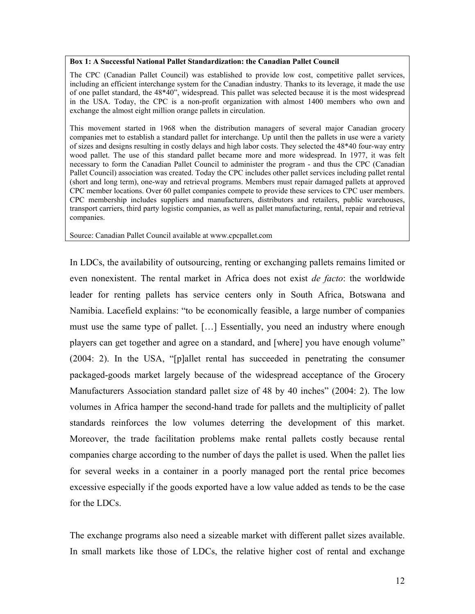#### **Box 1: A Successful National Pallet Standardization: the Canadian Pallet Council**

The CPC (Canadian Pallet Council) was established to provide low cost, competitive pallet services, including an efficient interchange system for the Canadian industry. Thanks to its leverage, it made the use of one pallet standard, the 48\*40", widespread. This pallet was selected because it is the most widespread in the USA. Today, the CPC is a non-profit organization with almost 1400 members who own and exchange the almost eight million orange pallets in circulation.

This movement started in 1968 when the distribution managers of several major Canadian grocery companies met to establish a standard pallet for interchange. Up until then the pallets in use were a variety of sizes and designs resulting in costly delays and high labor costs. They selected the 48\*40 four-way entry wood pallet. The use of this standard pallet became more and more widespread. In 1977, it was felt necessary to form the Canadian Pallet Council to administer the program - and thus the CPC (Canadian Pallet Council) association was created. Today the CPC includes other pallet services including pallet rental (short and long term), one-way and retrieval programs. Members must repair damaged pallets at approved CPC member locations. Over 60 pallet companies compete to provide these services to CPC user members. CPC membership includes suppliers and manufacturers, distributors and retailers, public warehouses, transport carriers, third party logistic companies, as well as pallet manufacturing, rental, repair and retrieval companies.

Source: Canadian Pallet Council available at www.cpcpallet.com

In LDCs, the availability of outsourcing, renting or exchanging pallets remains limited or even nonexistent. The rental market in Africa does not exist *de facto*: the worldwide leader for renting pallets has service centers only in South Africa, Botswana and Namibia. Lacefield explains: "to be economically feasible, a large number of companies must use the same type of pallet. […] Essentially, you need an industry where enough players can get together and agree on a standard, and [where] you have enough volume" (2004: 2). In the USA, "[p]allet rental has succeeded in penetrating the consumer packaged-goods market largely because of the widespread acceptance of the Grocery Manufacturers Association standard pallet size of 48 by 40 inches" (2004: 2). The low volumes in Africa hamper the second-hand trade for pallets and the multiplicity of pallet standards reinforces the low volumes deterring the development of this market. Moreover, the trade facilitation problems make rental pallets costly because rental companies charge according to the number of days the pallet is used. When the pallet lies for several weeks in a container in a poorly managed port the rental price becomes excessive especially if the goods exported have a low value added as tends to be the case for the LDCs.

The exchange programs also need a sizeable market with different pallet sizes available. In small markets like those of LDCs, the relative higher cost of rental and exchange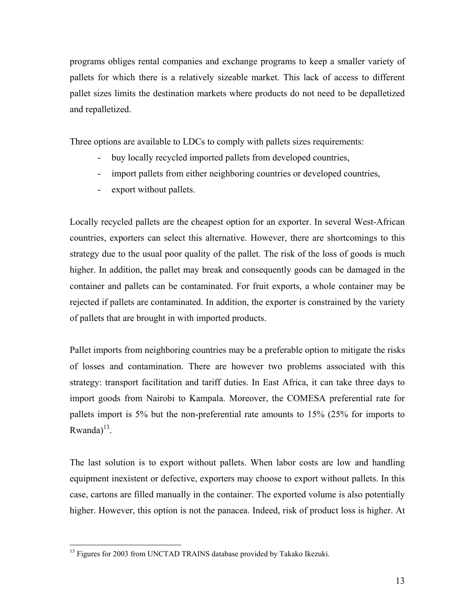programs obliges rental companies and exchange programs to keep a smaller variety of pallets for which there is a relatively sizeable market. This lack of access to different pallet sizes limits the destination markets where products do not need to be depalletized and repalletized.

Three options are available to LDCs to comply with pallets sizes requirements:

- buy locally recycled imported pallets from developed countries,
- import pallets from either neighboring countries or developed countries,
- export without pallets.

Locally recycled pallets are the cheapest option for an exporter. In several West-African countries, exporters can select this alternative. However, there are shortcomings to this strategy due to the usual poor quality of the pallet. The risk of the loss of goods is much higher. In addition, the pallet may break and consequently goods can be damaged in the container and pallets can be contaminated. For fruit exports, a whole container may be rejected if pallets are contaminated. In addition, the exporter is constrained by the variety of pallets that are brought in with imported products.

Pallet imports from neighboring countries may be a preferable option to mitigate the risks of losses and contamination. There are however two problems associated with this strategy: transport facilitation and tariff duties. In East Africa, it can take three days to import goods from Nairobi to Kampala. Moreover, the COMESA preferential rate for pallets import is 5% but the non-preferential rate amounts to 15% (25% for imports to Rwanda) $^{13}$ .

The last solution is to export without pallets. When labor costs are low and handling equipment inexistent or defective, exporters may choose to export without pallets. In this case, cartons are filled manually in the container. The exported volume is also potentially higher. However, this option is not the panacea. Indeed, risk of product loss is higher. At

 $\overline{a}$ <sup>13</sup> Figures for 2003 from UNCTAD TRAINS database provided by Takako Ikezuki.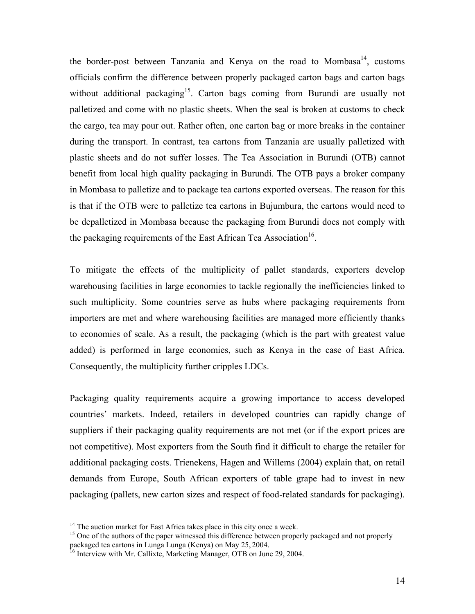the border-post between Tanzania and Kenya on the road to Mombasa<sup>14</sup>, customs officials confirm the difference between properly packaged carton bags and carton bags without additional packaging<sup>15</sup>. Carton bags coming from Burundi are usually not palletized and come with no plastic sheets. When the seal is broken at customs to check the cargo, tea may pour out. Rather often, one carton bag or more breaks in the container during the transport. In contrast, tea cartons from Tanzania are usually palletized with plastic sheets and do not suffer losses. The Tea Association in Burundi (OTB) cannot benefit from local high quality packaging in Burundi. The OTB pays a broker company in Mombasa to palletize and to package tea cartons exported overseas. The reason for this is that if the OTB were to palletize tea cartons in Bujumbura, the cartons would need to be depalletized in Mombasa because the packaging from Burundi does not comply with the packaging requirements of the East African Tea Association<sup>16</sup>.

To mitigate the effects of the multiplicity of pallet standards, exporters develop warehousing facilities in large economies to tackle regionally the inefficiencies linked to such multiplicity. Some countries serve as hubs where packaging requirements from importers are met and where warehousing facilities are managed more efficiently thanks to economies of scale. As a result, the packaging (which is the part with greatest value added) is performed in large economies, such as Kenya in the case of East Africa. Consequently, the multiplicity further cripples LDCs.

Packaging quality requirements acquire a growing importance to access developed countries' markets. Indeed, retailers in developed countries can rapidly change of suppliers if their packaging quality requirements are not met (or if the export prices are not competitive). Most exporters from the South find it difficult to charge the retailer for additional packaging costs. Trienekens, Hagen and Willems (2004) explain that, on retail demands from Europe, South African exporters of table grape had to invest in new packaging (pallets, new carton sizes and respect of food-related standards for packaging).

<sup>&</sup>lt;sup>14</sup> The auction market for East Africa takes place in this city once a week.

<sup>&</sup>lt;sup>15</sup> One of the authors of the paper witnessed this difference between properly packaged and not properly packaged tea cartons in Lunga Lunga (Kenya) on May 25, 2004.<br><sup>16</sup> Interview with Mr. Callixte, Marketing Manager, OTB on June 29, 2004.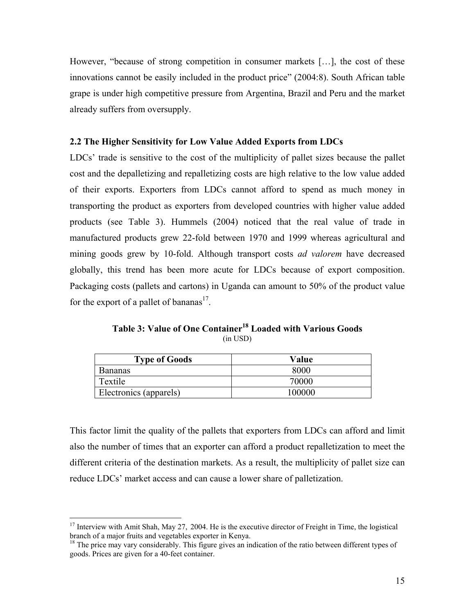However, "because of strong competition in consumer markets […], the cost of these innovations cannot be easily included in the product price" (2004:8). South African table grape is under high competitive pressure from Argentina, Brazil and Peru and the market already suffers from oversupply.

# **2.2 The Higher Sensitivity for Low Value Added Exports from LDCs**

LDCs' trade is sensitive to the cost of the multiplicity of pallet sizes because the pallet cost and the depalletizing and repalletizing costs are high relative to the low value added of their exports. Exporters from LDCs cannot afford to spend as much money in transporting the product as exporters from developed countries with higher value added products (see Table 3). Hummels (2004) noticed that the real value of trade in manufactured products grew 22-fold between 1970 and 1999 whereas agricultural and mining goods grew by 10-fold. Although transport costs *ad valorem* have decreased globally, this trend has been more acute for LDCs because of export composition. Packaging costs (pallets and cartons) in Uganda can amount to 50% of the product value for the export of a pallet of bananas $17$ .

Table 3: Value of One Container<sup>18</sup> Loaded with Various Goods (in USD)

| <b>Type of Goods</b>   | Value  |
|------------------------|--------|
| <b>Bananas</b>         | 8000   |
| Textile                | 70000  |
| Electronics (apparels) | 100000 |

This factor limit the quality of the pallets that exporters from LDCs can afford and limit also the number of times that an exporter can afford a product repalletization to meet the different criteria of the destination markets. As a result, the multiplicity of pallet size can reduce LDCs' market access and can cause a lower share of palletization.

<sup>&</sup>lt;sup>17</sup> Interview with Amit Shah, May 27, 2004. He is the executive director of Freight in Time, the logistical branch of a major fruits and vegetables exporter in Kenya.

<sup>&</sup>lt;sup>18</sup> The price may vary considerably. This figure gives an indication of the ratio between different types of goods. Prices are given for a 40-feet container.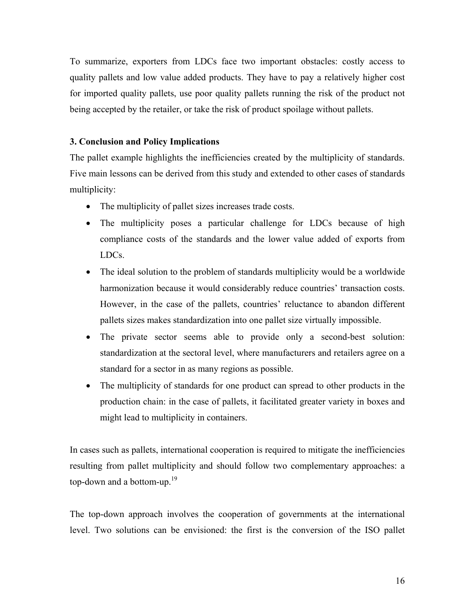To summarize, exporters from LDCs face two important obstacles: costly access to quality pallets and low value added products. They have to pay a relatively higher cost for imported quality pallets, use poor quality pallets running the risk of the product not being accepted by the retailer, or take the risk of product spoilage without pallets.

# **3. Conclusion and Policy Implications**

The pallet example highlights the inefficiencies created by the multiplicity of standards. Five main lessons can be derived from this study and extended to other cases of standards multiplicity:

- The multiplicity of pallet sizes increases trade costs.
- The multiplicity poses a particular challenge for LDCs because of high compliance costs of the standards and the lower value added of exports from LDCs.
- The ideal solution to the problem of standards multiplicity would be a worldwide harmonization because it would considerably reduce countries' transaction costs. However, in the case of the pallets, countries' reluctance to abandon different pallets sizes makes standardization into one pallet size virtually impossible.
- The private sector seems able to provide only a second-best solution: standardization at the sectoral level, where manufacturers and retailers agree on a standard for a sector in as many regions as possible.
- The multiplicity of standards for one product can spread to other products in the production chain: in the case of pallets, it facilitated greater variety in boxes and might lead to multiplicity in containers.

In cases such as pallets, international cooperation is required to mitigate the inefficiencies resulting from pallet multiplicity and should follow two complementary approaches: a top-down and a bottom-up. $19$ 

The top-down approach involves the cooperation of governments at the international level. Two solutions can be envisioned: the first is the conversion of the ISO pallet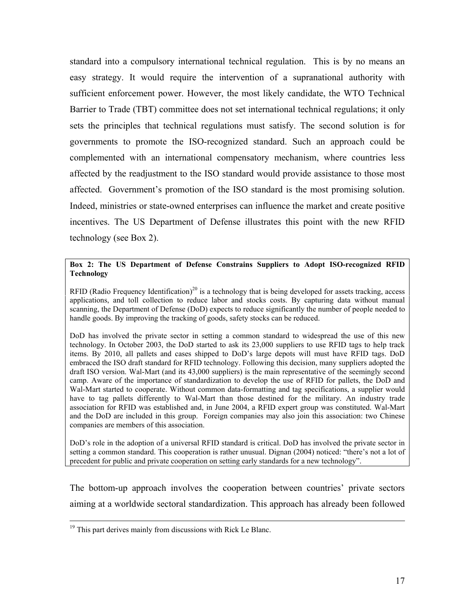standard into a compulsory international technical regulation. This is by no means an easy strategy. It would require the intervention of a supranational authority with sufficient enforcement power. However, the most likely candidate, the WTO Technical Barrier to Trade (TBT) committee does not set international technical regulations; it only sets the principles that technical regulations must satisfy. The second solution is for governments to promote the ISO-recognized standard. Such an approach could be complemented with an international compensatory mechanism, where countries less affected by the readjustment to the ISO standard would provide assistance to those most affected. Government's promotion of the ISO standard is the most promising solution. Indeed, ministries or state-owned enterprises can influence the market and create positive incentives. The US Department of Defense illustrates this point with the new RFID technology (see Box 2).

#### **Box 2: The US Department of Defense Constrains Suppliers to Adopt ISO-recognized RFID Technology**

RFID (Radio Frequency Identification)<sup>20</sup> is a technology that is being developed for assets tracking, access applications, and toll collection to reduce labor and stocks costs. By capturing data without manual scanning, the Department of Defense (DoD) expects to reduce significantly the number of people needed to handle goods. By improving the tracking of goods, safety stocks can be reduced.

DoD has involved the private sector in setting a common standard to widespread the use of this new technology. In October 2003, the DoD started to ask its 23,000 suppliers to use RFID tags to help track items. By 2010, all pallets and cases shipped to DoD's large depots will must have RFID tags. DoD embraced the ISO draft standard for RFID technology. Following this decision, many suppliers adopted the draft ISO version. Wal-Mart (and its 43,000 suppliers) is the main representative of the seemingly second camp. Aware of the importance of standardization to develop the use of RFID for pallets, the DoD and Wal-Mart started to cooperate. Without common data-formatting and tag specifications, a supplier would have to tag pallets differently to Wal-Mart than those destined for the military. An industry trade association for RFID was established and, in June 2004, a RFID expert group was constituted. Wal-Mart and the DoD are included in this group. Foreign companies may also join this association: two Chinese companies are members of this association.

DoD's role in the adoption of a universal RFID standard is critical. DoD has involved the private sector in setting a common standard. This cooperation is rather unusual. Dignan (2004) noticed: "there's not a lot of precedent for public and private cooperation on setting early standards for a new technology".

The bottom-up approach involves the cooperation between countries' private sectors aiming at a worldwide sectoral standardization. This approach has already been followed

 $19$  This part derives mainly from discussions with Rick Le Blanc.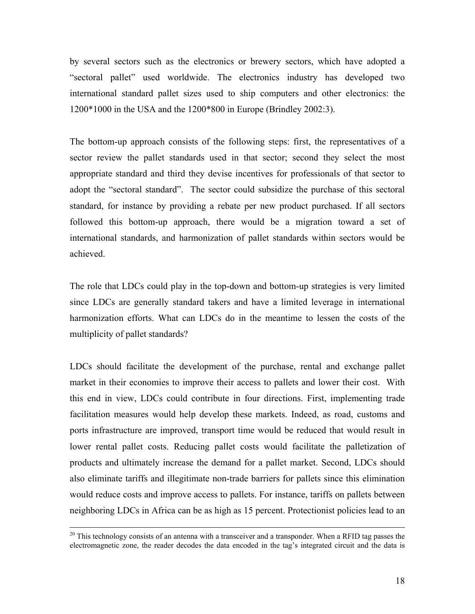by several sectors such as the electronics or brewery sectors, which have adopted a "sectoral pallet" used worldwide. The electronics industry has developed two international standard pallet sizes used to ship computers and other electronics: the 1200\*1000 in the USA and the 1200\*800 in Europe (Brindley 2002:3).

The bottom-up approach consists of the following steps: first, the representatives of a sector review the pallet standards used in that sector; second they select the most appropriate standard and third they devise incentives for professionals of that sector to adopt the "sectoral standard". The sector could subsidize the purchase of this sectoral standard, for instance by providing a rebate per new product purchased. If all sectors followed this bottom-up approach, there would be a migration toward a set of international standards, and harmonization of pallet standards within sectors would be achieved.

The role that LDCs could play in the top-down and bottom-up strategies is very limited since LDCs are generally standard takers and have a limited leverage in international harmonization efforts. What can LDCs do in the meantime to lessen the costs of the multiplicity of pallet standards?

LDCs should facilitate the development of the purchase, rental and exchange pallet market in their economies to improve their access to pallets and lower their cost. With this end in view, LDCs could contribute in four directions. First, implementing trade facilitation measures would help develop these markets. Indeed, as road, customs and ports infrastructure are improved, transport time would be reduced that would result in lower rental pallet costs. Reducing pallet costs would facilitate the palletization of products and ultimately increase the demand for a pallet market. Second, LDCs should also eliminate tariffs and illegitimate non-trade barriers for pallets since this elimination would reduce costs and improve access to pallets. For instance, tariffs on pallets between neighboring LDCs in Africa can be as high as 15 percent. Protectionist policies lead to an

 $20$  This technology consists of an antenna with a transceiver and a transponder. When a RFID tag passes the electromagnetic zone, the reader decodes the data encoded in the tag's integrated circuit and the data is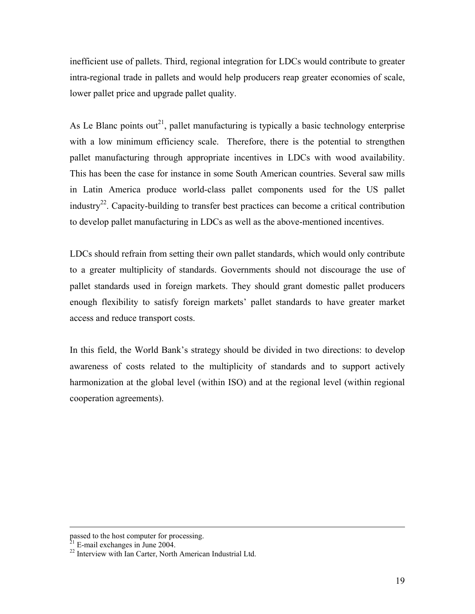inefficient use of pallets. Third, regional integration for LDCs would contribute to greater intra-regional trade in pallets and would help producers reap greater economies of scale, lower pallet price and upgrade pallet quality.

As Le Blanc points out<sup>21</sup>, pallet manufacturing is typically a basic technology enterprise with a low minimum efficiency scale. Therefore, there is the potential to strengthen pallet manufacturing through appropriate incentives in LDCs with wood availability. This has been the case for instance in some South American countries. Several saw mills in Latin America produce world-class pallet components used for the US pallet industry<sup>22</sup>. Capacity-building to transfer best practices can become a critical contribution to develop pallet manufacturing in LDCs as well as the above-mentioned incentives.

LDCs should refrain from setting their own pallet standards, which would only contribute to a greater multiplicity of standards. Governments should not discourage the use of pallet standards used in foreign markets. They should grant domestic pallet producers enough flexibility to satisfy foreign markets' pallet standards to have greater market access and reduce transport costs.

In this field, the World Bank's strategy should be divided in two directions: to develop awareness of costs related to the multiplicity of standards and to support actively harmonization at the global level (within ISO) and at the regional level (within regional cooperation agreements).

passed to the host computer for processing.

 $21$  E-mail exchanges in June 2004.

<sup>22</sup> Interview with Ian Carter, North American Industrial Ltd.